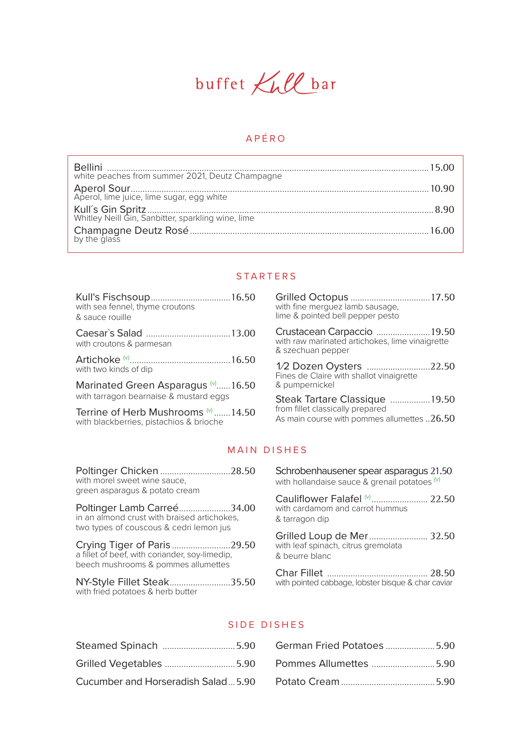

# APÉRO

| white peaches from summer 2021, Deutz Champagne |  |
|-------------------------------------------------|--|
|                                                 |  |
|                                                 |  |
|                                                 |  |

# **STARTERS**

|                                               | G              |
|-----------------------------------------------|----------------|
| with sea fennel, thyme croutons               | Wİ             |
| & sauce rouille                               | lin            |
| with croutons & parmesan                      | С<br>wi<br>&   |
|                                               | $\frac{1}{2}$  |
| with two kinds of dip                         | Fi             |
| Marinated Green Asparagus $\frac{1}{2}$ 16.50 | &              |
| with tarragon bearnaise & mustard eggs        | S <sub>i</sub> |
| Terrine of Herb Mushrooms (v) 14.50           | frc            |
| with blackberries, pistachios & brioche       | A.             |
|                                               |                |

**Stilled Octopus** ...................................17.50<br>ith fine merguez lamb sausage, ne & pointed bell pepper pesto

rustacean Carpaccio .......................19.50 ith raw marinated artichokes, lime vinaigrette szechuan pepper

2 Dozen Oysters ...........................22.50<br>ines de Claire with shallot vinaigrette pumpernickel

teak Tartare Classique .................19.50 om fillet classically prepared is main course with pommes allumettes ..  $26.50$ 

#### MAIN DISHES

| Poltinger Chicken 28.50<br>with morel sweet wine sauce,<br>green asparagus & potato cream                            |  |
|----------------------------------------------------------------------------------------------------------------------|--|
| Poltinger Lamb Carreé34.00<br>in an almond crust with braised artichokes,<br>two types of couscous & cedri lemon jus |  |
| Crying Tiger of Paris29.50<br>a fillet of beef, with coriander, soy-limedip,<br>beech mushrooms & pommes allumettes  |  |
| NY-Style Fillet Steak35.50<br>with fried potatoes & herb butter                                                      |  |

| Schrobenhausener spear asparagus 21.50<br>with hollandaise sauce & grenail potatoes (v) |  |
|-----------------------------------------------------------------------------------------|--|
| with cardamom and carrot hummus<br>& tarragon dip                                       |  |
| Grilled Loup de Mer 32.50<br>with leaf spinach, citrus gremolata                        |  |

& beurre blanc

with pointed cabbage, lobster bisque & char caviar

# SIDE DISHES

| Cucumber and Horseradish Salad5.90 |  |
|------------------------------------|--|

| German Fried Potatoes 5.90 |  |
|----------------------------|--|
| Pommes Allumettes 5.90     |  |
|                            |  |